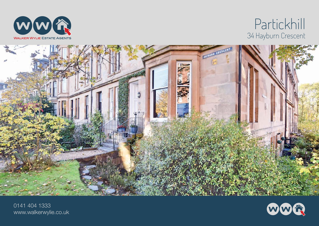

## Partickhill 34 Hayburn Crescent



0141 404 1333 www.walkerwylie.co.uk

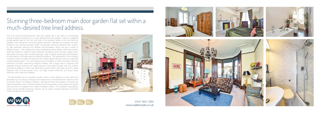## Stunning three-bedroom main door garden flat set within a much-desired tree lined address.

This truly stunning three-bedroom main door garden flat is set within a commanding blonde sandstone tenement in a much-desired tree lined address. There is a delightful private garden area to the front and side of the property whilst at the rear there are sizeable, well maintained communal garden grounds. Internally the property has been finished to an exacting standard whilst successfully combing traditional with modern, to offer extremely spacious and flexible accommodation which will suit a variety of different buyers. The building has many outstanding period details, whilst the property itself has retained a wealth of period features throughout which include; ceiling rose's, decorative cornicing, high moulded skirting's, deep moulded architraves and fireplaces. An abundance of storage space is offered throughout. The specification of the property includes a mixture of sash and casement and double-glazed window units and a gas fired central heating system. The commodious accommodation on offer comprises; entrance vestibule, full length welcoming reception hallway with a large walk-in cupboard and separate storage cupboard off, bright spacious dual aspect lounge with bay window and feature fireplace, modern fully fitted dining sized kitchen with larder area off, master bedroom with en-suite shower room, two large double bedrooms and luxury family bathroom with under floor heating.

 This flat benefits from an excellent location within a short distance of most West End amenities such as shops, boutiques and restaurants on Hyndland Road, Clarence Drive and Byres Road. The Botanic Gardens, Kelvingrove Park and Glasgow University are easily accessible on foot. There are frequent local bus services running nearby and regular train services are available from nearby Hyndland station. The Clydeside Expressway, Clyde Tunnel and M8 motorway network can be easily accessed allowing convenient travel throughout the central belt.





0141 404 1333 www.walkerwylie.co.uk